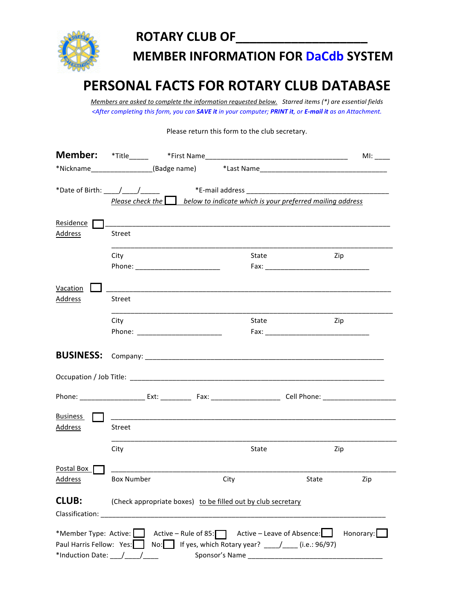

## **ROTARY CLUB OF\_**

**MEMBER INFORMATION FOR DaCdb SYSTEM** 

## **PERSONAL FACTS FOR ROTARY CLUB DATABASE**

*Members are asked to complete the information requested below.* Starred items (\*) are essential fields *<After'completing'this'form,'you'can'SAVE%it'in'your'computer;'PRINT%it,'or'E-mail%it'as'an'Attachment.'*

Please return this form to the club secretary.

| <b>Member:</b>                                                        |                                                                                   |                                                                                                                                     |              |
|-----------------------------------------------------------------------|-----------------------------------------------------------------------------------|-------------------------------------------------------------------------------------------------------------------------------------|--------------|
|                                                                       |                                                                                   |                                                                                                                                     |              |
|                                                                       | Please check the $\Box$ below to indicate which is your preferred mailing address | *E-mail address                                                                                                                     |              |
| Residence<br>Address                                                  | <b>Street</b>                                                                     |                                                                                                                                     |              |
|                                                                       | City<br>Phone: _________________________                                          | State                                                                                                                               | Zip          |
| Vacation<br>Address                                                   | Street                                                                            |                                                                                                                                     |              |
|                                                                       | City<br>Phone: ___________________________                                        | State                                                                                                                               | Zip          |
| <b>BUSINESS:</b>                                                      |                                                                                   |                                                                                                                                     |              |
|                                                                       |                                                                                   |                                                                                                                                     |              |
|                                                                       |                                                                                   |                                                                                                                                     |              |
| <b>Business</b><br>Address                                            | Street                                                                            |                                                                                                                                     |              |
|                                                                       | City                                                                              | State                                                                                                                               | Zip          |
| Postal Box<br>Address                                                 | <b>Box Number</b>                                                                 | City                                                                                                                                | State<br>Zip |
| <b>CLUB:</b><br>Classification:                                       | (Check appropriate boxes) to be filled out by club secretary                      |                                                                                                                                     |              |
| *Member Type: Active:<br>Paul Harris Fellow: Yes:<br>*Induction Date: | $No:$                                                                             | Active – Rule of 85: $\Box$ Active – Leave of Absence: $\Box$<br>If yes, which Rotary year? ___/___ (i.e.: 96/97)<br>Sponsor's Name | Honorary:    |